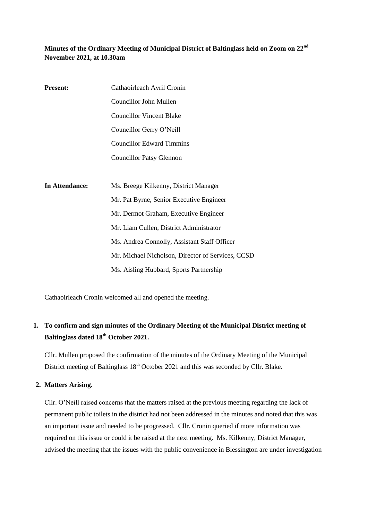## **Minutes of the Ordinary Meeting of Municipal District of Baltinglass held on Zoom on 22nd November 2021, at 10.30am**

| <b>Present:</b> | Cathaoirleach Avril Cronin               |
|-----------------|------------------------------------------|
|                 | Councillor John Mullen                   |
|                 | <b>Councillor Vincent Blake</b>          |
|                 | Councillor Gerry O'Neill                 |
|                 | <b>Councillor Edward Timmins</b>         |
|                 | <b>Councillor Patsy Glennon</b>          |
|                 |                                          |
| In Attendance:  | Ms. Breege Kilkenny, District Manager    |
|                 | Mr. Pat Byrne, Senior Executive Engineer |
|                 | Mr. Dermot Graham, Executive Engineer    |
|                 | Mr. Liam Cullen, District Administrator  |

Ms. Andrea Connolly, Assistant Staff Officer Mr. Michael Nicholson, Director of Services, CCSD Ms. Aisling Hubbard, Sports Partnership

Cathaoirleach Cronin welcomed all and opened the meeting.

# **1. To confirm and sign minutes of the Ordinary Meeting of the Municipal District meeting of Baltinglass dated 18th October 2021.**

Cllr. Mullen proposed the confirmation of the minutes of the Ordinary Meeting of the Municipal District meeting of Baltinglass  $18<sup>th</sup>$  October 2021 and this was seconded by Cllr. Blake.

### **2. Matters Arising.**

Cllr. O'Neill raised concerns that the matters raised at the previous meeting regarding the lack of permanent public toilets in the district had not been addressed in the minutes and noted that this was an important issue and needed to be progressed. Cllr. Cronin queried if more information was required on this issue or could it be raised at the next meeting. Ms. Kilkenny, District Manager, advised the meeting that the issues with the public convenience in Blessington are under investigation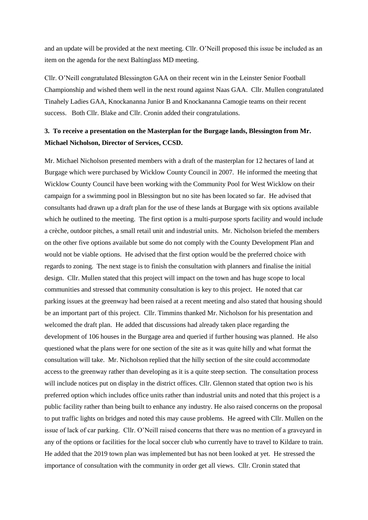and an update will be provided at the next meeting. Cllr. O'Neill proposed this issue be included as an item on the agenda for the next Baltinglass MD meeting.

Cllr. O'Neill congratulated Blessington GAA on their recent win in the Leinster Senior Football Championship and wished them well in the next round against Naas GAA. Cllr. Mullen congratulated Tinahely Ladies GAA, Knockananna Junior B and Knockananna Camogie teams on their recent success. Both Cllr. Blake and Cllr. Cronin added their congratulations.

## **3. To receive a presentation on the Masterplan for the Burgage lands, Blessington from Mr. Michael Nicholson, Director of Services, CCSD.**

Mr. Michael Nicholson presented members with a draft of the masterplan for 12 hectares of land at Burgage which were purchased by Wicklow County Council in 2007. He informed the meeting that Wicklow County Council have been working with the Community Pool for West Wicklow on their campaign for a swimming pool in Blessington but no site has been located so far. He advised that consultants had drawn up a draft plan for the use of these lands at Burgage with six options available which he outlined to the meeting. The first option is a multi-purpose sports facility and would include a crèche, outdoor pitches, a small retail unit and industrial units. Mr. Nicholson briefed the members on the other five options available but some do not comply with the County Development Plan and would not be viable options. He advised that the first option would be the preferred choice with regards to zoning. The next stage is to finish the consultation with planners and finalise the initial design. Cllr. Mullen stated that this project will impact on the town and has huge scope to local communities and stressed that community consultation is key to this project. He noted that car parking issues at the greenway had been raised at a recent meeting and also stated that housing should be an important part of this project. Cllr. Timmins thanked Mr. Nicholson for his presentation and welcomed the draft plan. He added that discussions had already taken place regarding the development of 106 houses in the Burgage area and queried if further housing was planned. He also questioned what the plans were for one section of the site as it was quite hilly and what format the consultation will take. Mr. Nicholson replied that the hilly section of the site could accommodate access to the greenway rather than developing as it is a quite steep section. The consultation process will include notices put on display in the district offices. Cllr. Glennon stated that option two is his preferred option which includes office units rather than industrial units and noted that this project is a public facility rather than being built to enhance any industry. He also raised concerns on the proposal to put traffic lights on bridges and noted this may cause problems. He agreed with Cllr. Mullen on the issue of lack of car parking. Cllr. O'Neill raised concerns that there was no mention of a graveyard in any of the options or facilities for the local soccer club who currently have to travel to Kildare to train. He added that the 2019 town plan was implemented but has not been looked at yet. He stressed the importance of consultation with the community in order get all views. Cllr. Cronin stated that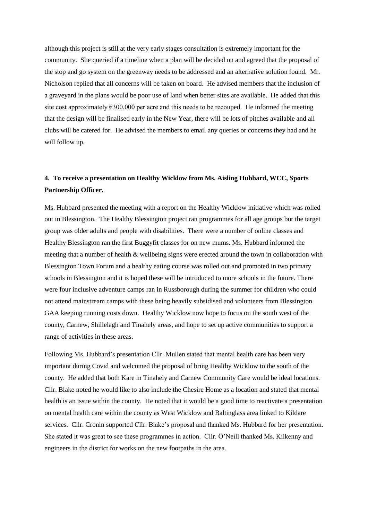although this project is still at the very early stages consultation is extremely important for the community. She queried if a timeline when a plan will be decided on and agreed that the proposal of the stop and go system on the greenway needs to be addressed and an alternative solution found. Mr. Nicholson replied that all concerns will be taken on board. He advised members that the inclusion of a graveyard in the plans would be poor use of land when better sites are available. He added that this site cost approximately  $\epsilon$ 300,000 per acre and this needs to be recouped. He informed the meeting that the design will be finalised early in the New Year, there will be lots of pitches available and all clubs will be catered for. He advised the members to email any queries or concerns they had and he will follow up.

## **4. To receive a presentation on Healthy Wicklow from Ms. Aisling Hubbard, WCC, Sports Partnership Officer.**

Ms. Hubbard presented the meeting with a report on the Healthy Wicklow initiative which was rolled out in Blessington. The Healthy Blessington project ran programmes for all age groups but the target group was older adults and people with disabilities. There were a number of online classes and Healthy Blessington ran the first Buggyfit classes for on new mums. Ms. Hubbard informed the meeting that a number of health & wellbeing signs were erected around the town in collaboration with Blessington Town Forum and a healthy eating course was rolled out and promoted in two primary schools in Blessington and it is hoped these will be introduced to more schools in the future. There were four inclusive adventure camps ran in Russborough during the summer for children who could not attend mainstream camps with these being heavily subsidised and volunteers from Blessington GAA keeping running costs down. Healthy Wicklow now hope to focus on the south west of the county, Carnew, Shillelagh and Tinahely areas, and hope to set up active communities to support a range of activities in these areas.

Following Ms. Hubbard's presentation Cllr. Mullen stated that mental health care has been very important during Covid and welcomed the proposal of bring Healthy Wicklow to the south of the county. He added that both Kare in Tinahely and Carnew Community Care would be ideal locations. Cllr. Blake noted he would like to also include the Chesire Home as a location and stated that mental health is an issue within the county. He noted that it would be a good time to reactivate a presentation on mental health care within the county as West Wicklow and Baltinglass area linked to Kildare services. Cllr. Cronin supported Cllr. Blake's proposal and thanked Ms. Hubbard for her presentation. She stated it was great to see these programmes in action. Cllr. O'Neill thanked Ms. Kilkenny and engineers in the district for works on the new footpaths in the area.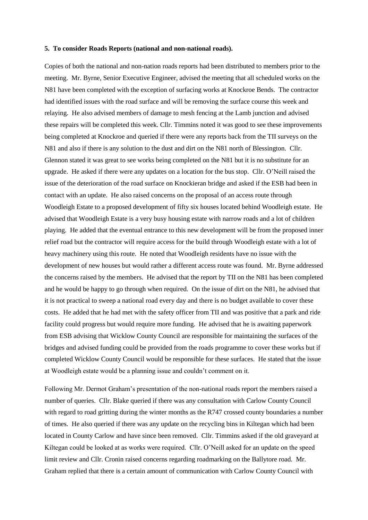#### **5. To consider Roads Reports (national and non-national roads).**

Copies of both the national and non-nation roads reports had been distributed to members prior to the meeting. Mr. Byrne, Senior Executive Engineer, advised the meeting that all scheduled works on the N81 have been completed with the exception of surfacing works at Knockroe Bends. The contractor had identified issues with the road surface and will be removing the surface course this week and relaying. He also advised members of damage to mesh fencing at the Lamb junction and advised these repairs will be completed this week. Cllr. Timmins noted it was good to see these improvements being completed at Knockroe and queried if there were any reports back from the TII surveys on the N81 and also if there is any solution to the dust and dirt on the N81 north of Blessington. Cllr. Glennon stated it was great to see works being completed on the N81 but it is no substitute for an upgrade. He asked if there were any updates on a location for the bus stop. Cllr. O'Neill raised the issue of the deterioration of the road surface on Knockieran bridge and asked if the ESB had been in contact with an update. He also raised concerns on the proposal of an access route through Woodleigh Estate to a proposed development of fifty six houses located behind Woodleigh estate. He advised that Woodleigh Estate is a very busy housing estate with narrow roads and a lot of children playing. He added that the eventual entrance to this new development will be from the proposed inner relief road but the contractor will require access for the build through Woodleigh estate with a lot of heavy machinery using this route. He noted that Woodleigh residents have no issue with the development of new houses but would rather a different access route was found. Mr. Byrne addressed the concerns raised by the members. He advised that the report by TII on the N81 has been completed and he would be happy to go through when required. On the issue of dirt on the N81, he advised that it is not practical to sweep a national road every day and there is no budget available to cover these costs. He added that he had met with the safety officer from TII and was positive that a park and ride facility could progress but would require more funding. He advised that he is awaiting paperwork from ESB advising that Wicklow County Council are responsible for maintaining the surfaces of the bridges and advised funding could be provided from the roads programme to cover these works but if completed Wicklow County Council would be responsible for these surfaces. He stated that the issue at Woodleigh estate would be a planning issue and couldn't comment on it.

Following Mr. Dermot Graham's presentation of the non-national roads report the members raised a number of queries. Cllr. Blake queried if there was any consultation with Carlow County Council with regard to road gritting during the winter months as the R747 crossed county boundaries a number of times. He also queried if there was any update on the recycling bins in Kiltegan which had been located in County Carlow and have since been removed. Cllr. Timmins asked if the old graveyard at Kiltegan could be looked at as works were required. Cllr. O'Neill asked for an update on the speed limit review and Cllr. Cronin raised concerns regarding roadmarking on the Ballytore road. Mr. Graham replied that there is a certain amount of communication with Carlow County Council with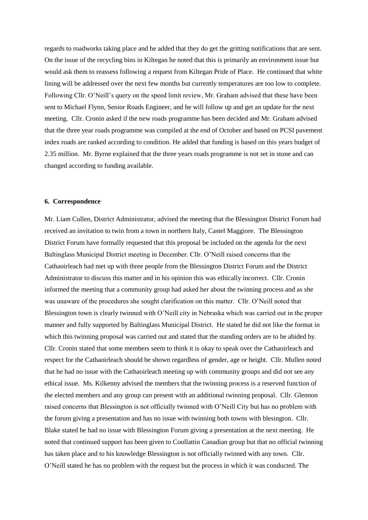regards to roadworks taking place and he added that they do get the gritting notifications that are sent. On the issue of the recycling bins in Kiltegan he noted that this is primarily an environment issue but would ask them to reassess following a request from Kiltegan Pride of Place. He continued that white lining will be addressed over the next few months but currently temperatures are too low to complete. Following Cllr. O'Neill's query on the speed limit review, Mr. Graham advised that these have been sent to Michael Flynn, Senior Roads Engineer, and he will follow up and get an update for the next meeting. Cllr. Cronin asked if the new roads programme has been decided and Mr. Graham advised that the three year roads programme was compiled at the end of October and based on PCSI pavement index roads are ranked according to condition. He added that funding is based on this years budget of 2.35 million. Mr. Byrne explained that the three years roads programme is not set in stone and can changed according to funding available.

#### **6. Correspondence**

Mr. Liam Cullen, District Administrator, advised the meeting that the Blessington District Forum had received an invitation to twin from a town in northern Italy, Castel Maggiore. The Blessington District Forum have formally requested that this proposal be included on the agenda for the next Baltinglass Municipal District meeting in December. Cllr. O'Neill raised concerns that the Cathaoirleach had met up with three people from the Blessington District Forum and the District Administrator to discuss this matter and in his opinion this was ethically incorrect. Cllr. Cronin informed the meeting that a community group had asked her about the twinning process and as she was unaware of the procedures she sought clarification on this matter. Cllr. O'Neill noted that Blessington town is clearly twinned with O'Neill city in Nebraska which was carried out in the proper manner and fully supported by Baltinglass Municipal District. He stated he did not like the format in which this twinning proposal was carried out and stated that the standing orders are to be abided by. Cllr. Cronin stated that some members seem to think it is okay to speak over the Cathaoirleach and respect for the Cathaoirleach should be shown regardless of gender, age or height. Cllr. Mullen noted that he had no issue with the Cathaoirleach meeting up with community groups and did not see any ethical issue. Ms. Kilkenny advised the members that the twinning process is a reserved function of the elected members and any group can present with an additional twinning proposal. Cllr. Glennon raised concerns that Blessington is not officially twinned with O'Neill City but has no problem with the forum giving a presentation and has no issue with twinning both towns with blesington. Cllr. Blake stated he had no issue with Blessington Forum giving a presentation at the next meeting. He noted that continued support has been given to Coollattin Canadian group but that no official twinning has taken place and to his knowledge Blessington is not officially twinned with any town. Cllr. O'Neill stated he has no problem with the request but the process in which it was conducted. The